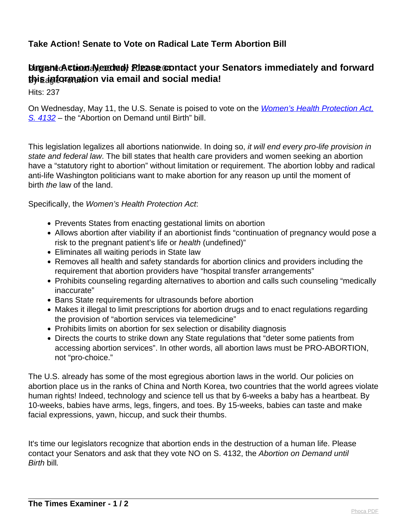## **Take Action! Senate to Vote on Radical Late Term Abortion Bill**

## **Bugent Action Needed! Please contact your Senators immediately and forward** By Eagle Forum **this information via email and social media!**

Hits: 237

On Wednesday, May 11, the U.S. Senate is poised to vote on the *Women's Health Protection Act*, [S. 4132](https://eagleforum.us14.list-manage.com/track/click?u=cf281a096a7f20fa26c87fe14&id=240b6cb4d8&e=52009b76ba) – the "Abortion on Demand until Birth" bill.

This legislation legalizes all abortions nationwide. In doing so, it will end every pro-life provision in state and federal law. The bill states that health care providers and women seeking an abortion have a "statutory right to abortion" without limitation or requirement. The abortion lobby and radical anti-life Washington politicians want to make abortion for any reason up until the moment of birth the law of the land.

Specifically, the Women's Health Protection Act:

- Prevents States from enacting gestational limits on abortion
- Allows abortion after viability if an abortionist finds "continuation of pregnancy would pose a risk to the pregnant patient's life or health (undefined)"
- Eliminates all waiting periods in State law
- Removes all health and safety standards for abortion clinics and providers including the requirement that abortion providers have "hospital transfer arrangements"
- Prohibits counseling regarding alternatives to abortion and calls such counseling "medically inaccurate"
- Bans State requirements for ultrasounds before abortion
- Makes it illegal to limit prescriptions for abortion drugs and to enact regulations regarding the provision of "abortion services via telemedicine"
- Prohibits limits on abortion for sex selection or disability diagnosis
- Directs the courts to strike down any State regulations that "deter some patients from accessing abortion services". In other words, all abortion laws must be PRO-ABORTION, not "pro-choice."

The U.S. already has some of the most egregious abortion laws in the world. Our policies on abortion place us in the ranks of China and North Korea, two countries that the world agrees violate human rights! Indeed, technology and science tell us that by 6-weeks a baby has a heartbeat. By 10-weeks, babies have arms, legs, fingers, and toes. By 15-weeks, babies can taste and make facial expressions, yawn, hiccup, and suck their thumbs.

It's time our legislators recognize that abortion ends in the destruction of a human life. Please contact your Senators and ask that they vote NO on S. 4132, the Abortion on Demand until Birth bill.